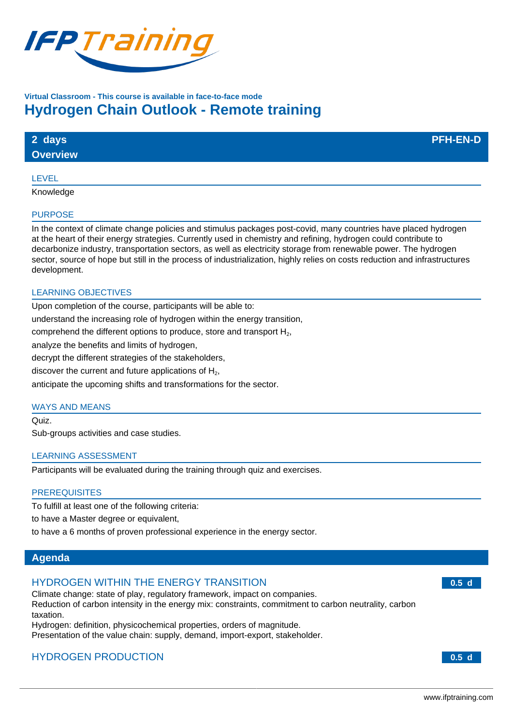

# **Virtual Classroom - This course is available in face-to-face mode Hydrogen Chain Outlook - Remote training**

| 2 days          | <b>PFH-EN-D</b> |
|-----------------|-----------------|
| <b>Overview</b> |                 |

### LEVEL

Knowledge

#### PURPOSE

In the context of climate change policies and stimulus packages post-covid, many countries have placed hydrogen at the heart of their energy strategies. Currently used in chemistry and refining, hydrogen could contribute to decarbonize industry, transportation sectors, as well as electricity storage from renewable power. The hydrogen sector, source of hope but still in the process of industrialization, highly relies on costs reduction and infrastructures development.

## LEARNING OBJECTIVES

Upon completion of the course, participants will be able to:

understand the increasing role of hydrogen within the energy transition,

comprehend the different options to produce, store and transport  $H_2$ ,

analyze the benefits and limits of hydrogen,

decrypt the different strategies of the stakeholders,

discover the current and future applications of  $H<sub>2</sub>$ ,

anticipate the upcoming shifts and transformations for the sector.

## WAYS AND MEANS

Quiz. Sub-groups activities and case studies.

## LEARNING ASSESSMENT

Participants will be evaluated during the training through quiz and exercises.

## **PREREQUISITES**

To fulfill at least one of the following criteria:

to have a Master degree or equivalent,

to have a 6 months of proven professional experience in the energy sector.

## **Agenda**

## HYDROGEN WITHIN THE ENERGY TRANSITION

Climate change: state of play, regulatory framework, impact on companies. Reduction of carbon intensity in the energy mix: constraints, commitment to carbon neutrality, carbon taxation.

Hydrogen: definition, physicochemical properties, orders of magnitude. Presentation of the value chain: supply, demand, import-export, stakeholder.

# HYDROGEN PRODUCTION **0.5 d**

**0.5 d**